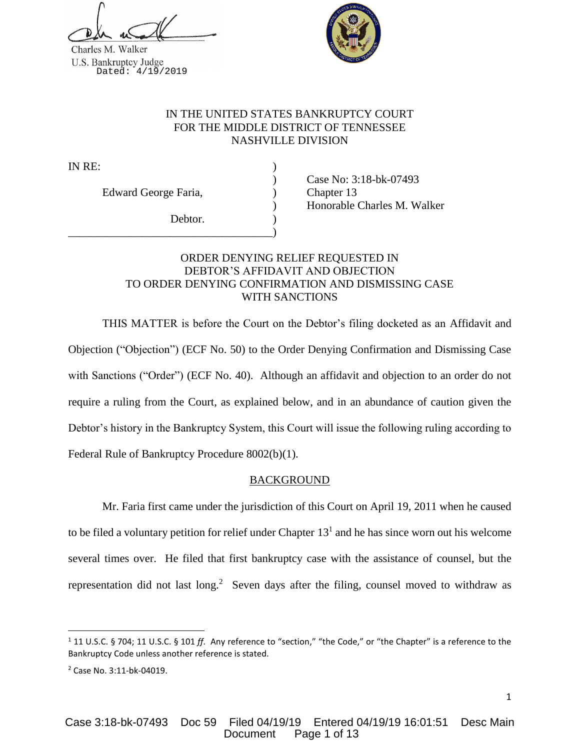Charles M. Walker U.S. Bankruptcy Judge<br>Dated: 4/19/2019



# IN THE UNITED STATES BANKRUPTCY COURT FOR THE MIDDLE DISTRICT OF TENNESSEE NASHVILLE DIVISION

IN RE:

Edward George Faria, (a) Chapter 13

Debtor.

\_\_\_\_\_\_\_\_\_\_\_\_\_\_\_\_\_\_\_\_\_\_\_\_\_\_\_\_\_\_\_\_\_\_\_\_)

) Case No: 3:18-bk-07493 ) Honorable Charles M. Walker

# ORDER DENYING RELIEF REQUESTED IN DEBTOR'S AFFIDAVIT AND OBJECTION TO ORDER DENYING CONFIRMATION AND DISMISSING CASE WITH SANCTIONS

THIS MATTER is before the Court on the Debtor's filing docketed as an Affidavit and Objection ("Objection") (ECF No. 50) to the Order Denying Confirmation and Dismissing Case with Sanctions ("Order") (ECF No. 40). Although an affidavit and objection to an order do not require a ruling from the Court, as explained below, and in an abundance of caution given the Debtor's history in the Bankruptcy System, this Court will issue the following ruling according to Federal Rule of Bankruptcy Procedure 8002(b)(1).

# BACKGROUND

Mr. Faria first came under the jurisdiction of this Court on April 19, 2011 when he caused to be filed a voluntary petition for relief under Chapter  $13<sup>1</sup>$  and he has since worn out his welcome several times over. He filed that first bankruptcy case with the assistance of counsel, but the representation did not last long.<sup>2</sup> Seven days after the filing, counsel moved to withdraw as

 $\overline{a}$ 

<sup>1</sup> 11 U.S.C. § 704; 11 U.S.C. § 101 *ff*. Any reference to "section," "the Code," or "the Chapter" is a reference to the Bankruptcy Code unless another reference is stated.

<sup>2</sup> Case No. 3:11-bk-04019.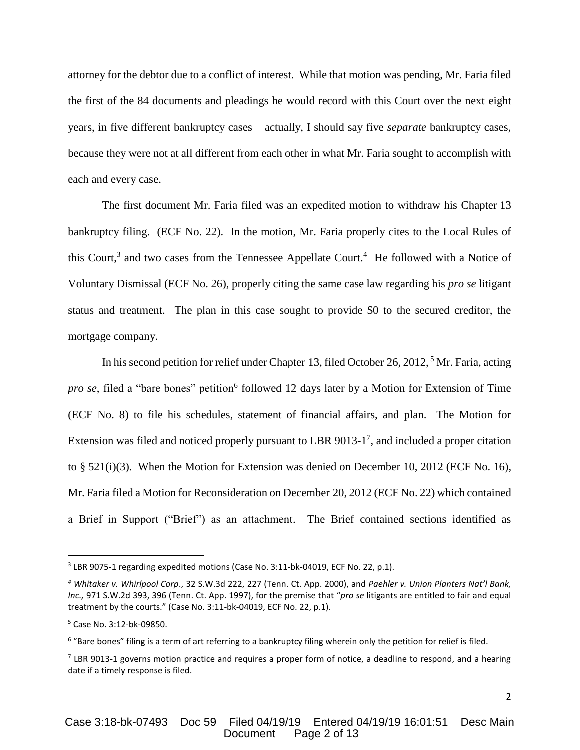attorney for the debtor due to a conflict of interest. While that motion was pending, Mr. Faria filed the first of the 84 documents and pleadings he would record with this Court over the next eight years, in five different bankruptcy cases – actually, I should say five *separate* bankruptcy cases, because they were not at all different from each other in what Mr. Faria sought to accomplish with each and every case.

The first document Mr. Faria filed was an expedited motion to withdraw his Chapter 13 bankruptcy filing. (ECF No. 22). In the motion, Mr. Faria properly cites to the Local Rules of this Court,<sup>3</sup> and two cases from the Tennessee Appellate Court.<sup>4</sup> He followed with a Notice of Voluntary Dismissal (ECF No. 26), properly citing the same case law regarding his *pro se* litigant status and treatment. The plan in this case sought to provide \$0 to the secured creditor, the mortgage company.

In his second petition for relief under Chapter 13, filed October 26, 2012, <sup>5</sup> Mr. Faria, acting pro se, filed a "bare bones" petition<sup>6</sup> followed 12 days later by a Motion for Extension of Time (ECF No. 8) to file his schedules, statement of financial affairs, and plan. The Motion for Extension was filed and noticed properly pursuant to LBR 9013-1<sup>7</sup>, and included a proper citation to § 521(i)(3). When the Motion for Extension was denied on December 10, 2012 (ECF No. 16), Mr. Faria filed a Motion for Reconsideration on December 20, 2012 (ECF No. 22) which contained a Brief in Support ("Brief") as an attachment. The Brief contained sections identified as

 $\overline{a}$ 

 $3$  LBR 9075-1 regarding expedited motions (Case No. 3:11-bk-04019, ECF No. 22, p.1).

*<sup>4</sup> Whitaker v. Whirlpool Corp*., 32 S.W.3d 222, 227 (Tenn. Ct. App. 2000), and *Paehler v. Union Planters Nat'l Bank, Inc.,* 971 S.W.2d 393, 396 (Tenn. Ct. App. 1997), for the premise that "*pro se* litigants are entitled to fair and equal treatment by the courts." (Case No. 3:11-bk-04019, ECF No. 22, p.1).

<sup>5</sup> Case No. 3:12-bk-09850.

<sup>6</sup> "Bare bones" filing is a term of art referring to a bankruptcy filing wherein only the petition for relief is filed.

 $<sup>7</sup>$  LBR 9013-1 governs motion practice and requires a proper form of notice, a deadline to respond, and a hearing</sup> date if a timely response is filed.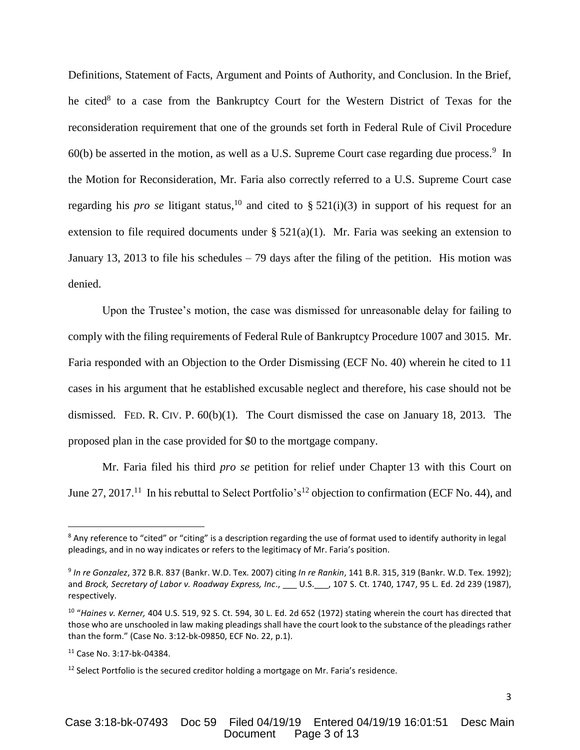Definitions, Statement of Facts, Argument and Points of Authority, and Conclusion. In the Brief, he cited<sup>8</sup> to a case from the Bankruptcy Court for the Western District of Texas for the reconsideration requirement that one of the grounds set forth in Federal Rule of Civil Procedure  $60(b)$  be asserted in the motion, as well as a U.S. Supreme Court case regarding due process.<sup>9</sup> In the Motion for Reconsideration, Mr. Faria also correctly referred to a U.S. Supreme Court case regarding his *pro se* litigant status,<sup>10</sup> and cited to  $\S$  521(i)(3) in support of his request for an extension to file required documents under §  $521(a)(1)$ . Mr. Faria was seeking an extension to January 13, 2013 to file his schedules – 79 days after the filing of the petition. His motion was denied.

Upon the Trustee's motion, the case was dismissed for unreasonable delay for failing to comply with the filing requirements of Federal Rule of Bankruptcy Procedure 1007 and 3015. Mr. Faria responded with an Objection to the Order Dismissing (ECF No. 40) wherein he cited to 11 cases in his argument that he established excusable neglect and therefore, his case should not be dismissed. FED. R. CIV. P. 60(b)(1). The Court dismissed the case on January 18, 2013. The proposed plan in the case provided for \$0 to the mortgage company.

Mr. Faria filed his third *pro se* petition for relief under Chapter 13 with this Court on June 27, 2017.<sup>11</sup> In his rebuttal to Select Portfolio's<sup>12</sup> objection to confirmation (ECF No. 44), and

 $\overline{\phantom{a}}$ 

 $8$  Any reference to "cited" or "citing" is a description regarding the use of format used to identify authority in legal pleadings, and in no way indicates or refers to the legitimacy of Mr. Faria's position.

<sup>9</sup> *In re Gonzalez*, 372 B.R. 837 (Bankr. W.D. Tex. 2007) citing *In re Rankin*, 141 B.R. 315, 319 (Bankr. W.D. Tex. 1992); and *Brock, Secretary of Labor v. Roadway Express, Inc*., \_\_\_ U.S.\_\_\_, 107 S. Ct. 1740, 1747, 95 L. Ed. 2d 239 (1987), respectively.

<sup>10</sup> "*Haines v. Kerner,* 404 U.S. 519, 92 S. Ct. 594, 30 L. Ed. 2d 652 (1972) stating wherein the court has directed that those who are unschooled in law making pleadings shall have the court look to the substance of the pleadings rather than the form." (Case No. 3:12-bk-09850, ECF No. 22, p.1).

<sup>11</sup> Case No. 3:17-bk-04384.

 $12$  Select Portfolio is the secured creditor holding a mortgage on Mr. Faria's residence.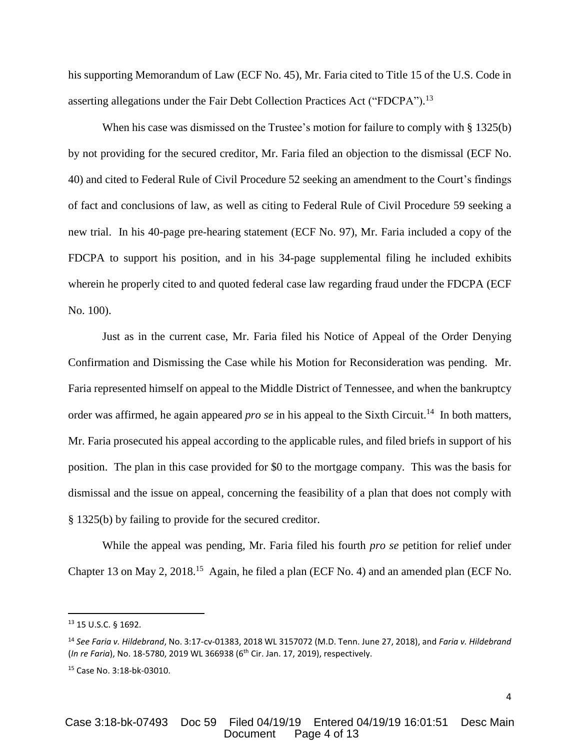his supporting Memorandum of Law (ECF No. 45), Mr. Faria cited to Title 15 of the U.S. Code in asserting allegations under the Fair Debt Collection Practices Act ("FDCPA").<sup>13</sup>

When his case was dismissed on the Trustee's motion for failure to comply with § 1325(b) by not providing for the secured creditor, Mr. Faria filed an objection to the dismissal (ECF No. 40) and cited to Federal Rule of Civil Procedure 52 seeking an amendment to the Court's findings of fact and conclusions of law, as well as citing to Federal Rule of Civil Procedure 59 seeking a new trial. In his 40-page pre-hearing statement (ECF No. 97), Mr. Faria included a copy of the FDCPA to support his position, and in his 34-page supplemental filing he included exhibits wherein he properly cited to and quoted federal case law regarding fraud under the FDCPA (ECF No. 100).

Just as in the current case, Mr. Faria filed his Notice of Appeal of the Order Denying Confirmation and Dismissing the Case while his Motion for Reconsideration was pending. Mr. Faria represented himself on appeal to the Middle District of Tennessee, and when the bankruptcy order was affirmed, he again appeared *pro se* in his appeal to the Sixth Circuit.<sup>14</sup> In both matters, Mr. Faria prosecuted his appeal according to the applicable rules, and filed briefs in support of his position. The plan in this case provided for \$0 to the mortgage company. This was the basis for dismissal and the issue on appeal, concerning the feasibility of a plan that does not comply with § 1325(b) by failing to provide for the secured creditor.

While the appeal was pending, Mr. Faria filed his fourth *pro se* petition for relief under Chapter 13 on May 2, 2018.<sup>15</sup> Again, he filed a plan (ECF No. 4) and an amended plan (ECF No.

l

<sup>13</sup> 15 U.S.C. § 1692.

<sup>14</sup> *See Faria v. Hildebrand*, No. 3:17-cv-01383, 2018 WL 3157072 (M.D. Tenn. June 27, 2018), and *Faria v. Hildebrand* (*In re Faria*), No. 18-5780, 2019 WL 366938 (6th Cir. Jan. 17, 2019), respectively.

<sup>15</sup> Case No. 3:18-bk-03010.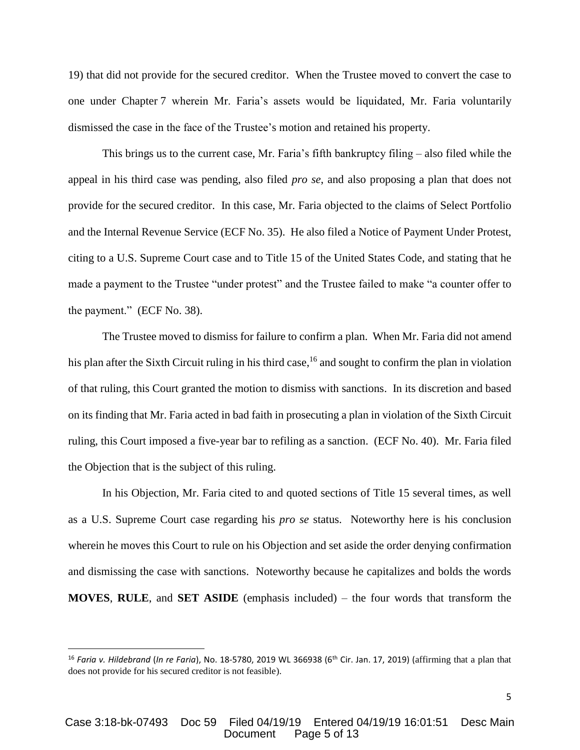19) that did not provide for the secured creditor. When the Trustee moved to convert the case to one under Chapter 7 wherein Mr. Faria's assets would be liquidated, Mr. Faria voluntarily dismissed the case in the face of the Trustee's motion and retained his property.

This brings us to the current case, Mr. Faria's fifth bankruptcy filing – also filed while the appeal in his third case was pending, also filed *pro se*, and also proposing a plan that does not provide for the secured creditor. In this case, Mr. Faria objected to the claims of Select Portfolio and the Internal Revenue Service (ECF No. 35). He also filed a Notice of Payment Under Protest, citing to a U.S. Supreme Court case and to Title 15 of the United States Code, and stating that he made a payment to the Trustee "under protest" and the Trustee failed to make "a counter offer to the payment." (ECF No. 38).

The Trustee moved to dismiss for failure to confirm a plan. When Mr. Faria did not amend his plan after the Sixth Circuit ruling in his third case,<sup>16</sup> and sought to confirm the plan in violation of that ruling, this Court granted the motion to dismiss with sanctions. In its discretion and based on its finding that Mr. Faria acted in bad faith in prosecuting a plan in violation of the Sixth Circuit ruling, this Court imposed a five-year bar to refiling as a sanction. (ECF No. 40). Mr. Faria filed the Objection that is the subject of this ruling.

In his Objection, Mr. Faria cited to and quoted sections of Title 15 several times, as well as a U.S. Supreme Court case regarding his *pro se* status. Noteworthy here is his conclusion wherein he moves this Court to rule on his Objection and set aside the order denying confirmation and dismissing the case with sanctions. Noteworthy because he capitalizes and bolds the words **MOVES**, **RULE**, and **SET ASIDE** (emphasis included) – the four words that transform the

l

<sup>16</sup> *Faria v. Hildebrand* (*In re Faria*), No. 18-5780, 2019 WL 366938 (6th Cir. Jan. 17, 2019) (affirming that a plan that does not provide for his secured creditor is not feasible).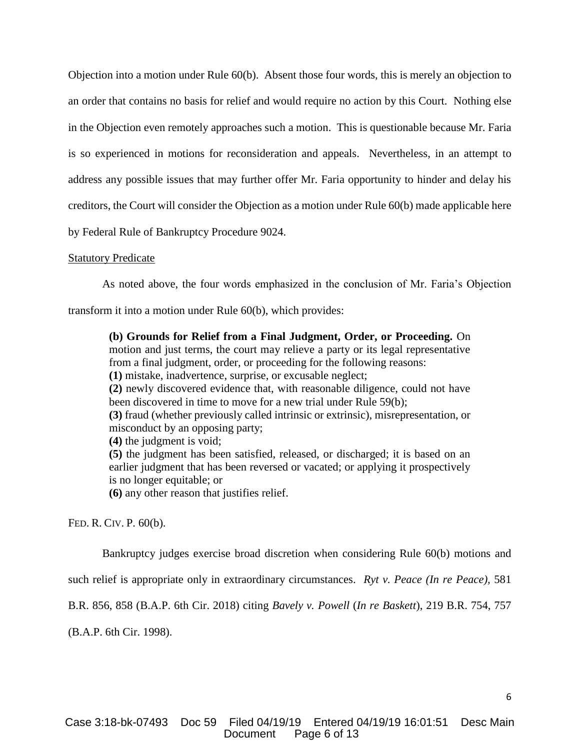Objection into a motion under Rule 60(b). Absent those four words, this is merely an objection to an order that contains no basis for relief and would require no action by this Court. Nothing else in the Objection even remotely approaches such a motion. This is questionable because Mr. Faria is so experienced in motions for reconsideration and appeals. Nevertheless, in an attempt to address any possible issues that may further offer Mr. Faria opportunity to hinder and delay his creditors, the Court will consider the Objection as a motion under Rule 60(b) made applicable here by Federal Rule of Bankruptcy Procedure 9024.

#### **Statutory Predicate**

As noted above, the four words emphasized in the conclusion of Mr. Faria's Objection

transform it into a motion under Rule 60(b), which provides:

**(b) Grounds for Relief from a Final Judgment, Order, or Proceeding.** On motion and just terms, the court may relieve a party or its legal representative from a final judgment, order, or proceeding for the following reasons: **(1)** mistake, inadvertence, surprise, or excusable neglect; **(2)** newly discovered evidence that, with reasonable diligence, could not have been discovered in time to move for a new trial under Rule 59(b); **(3)** fraud (whether previously called intrinsic or extrinsic), misrepresentation, or misconduct by an opposing party; **(4)** the judgment is void; **(5)** the judgment has been satisfied, released, or discharged; it is based on an earlier judgment that has been reversed or vacated; or applying it prospectively is no longer equitable; or **(6)** any other reason that justifies relief.

FED. R. CIV. P. 60(b).

Bankruptcy judges exercise broad discretion when considering Rule 60(b) motions and

such relief is appropriate only in extraordinary circumstances. *Ryt v. Peace (In re Peace),* 581

B.R. 856, 858 (B.A.P. 6th Cir. 2018) citing *Bavely v. Powell* (*In re Baskett*), 219 B.R. 754, 757

(B.A.P. 6th Cir. 1998).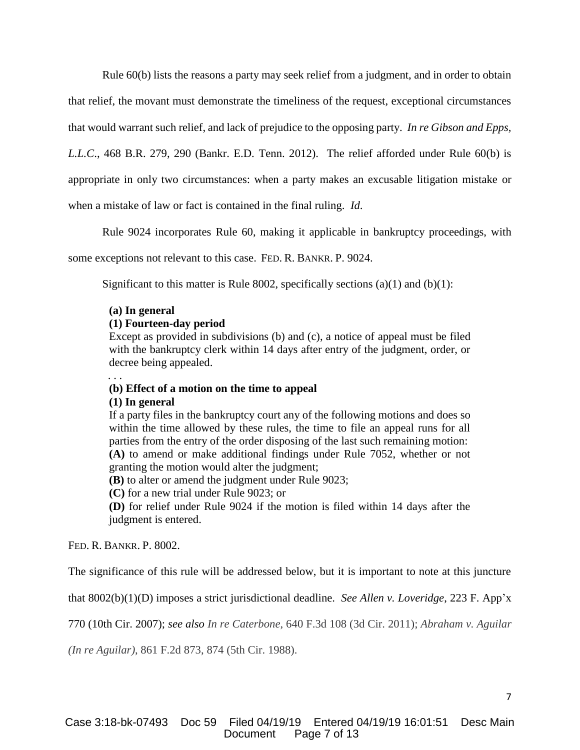Rule 60(b) lists the reasons a party may seek relief from a judgment, and in order to obtain

that relief, the movant must demonstrate the timeliness of the request, exceptional circumstances

that would warrant such relief, and lack of prejudice to the opposing party. *In re Gibson and Epps,* 

*L.L.C*., 468 B.R. 279, 290 (Bankr. E.D. Tenn. 2012). The relief afforded under Rule 60(b) is

appropriate in only two circumstances: when a party makes an excusable litigation mistake or

when a mistake of law or fact is contained in the final ruling. *Id*.

Rule 9024 incorporates Rule 60, making it applicable in bankruptcy proceedings, with

some exceptions not relevant to this case. FED. R. BANKR. P. 9024.

Significant to this matter is Rule 8002, specifically sections (a)(1) and (b)(1):

## **(a) In general**

## **(1) Fourteen-day period**

Except as provided in subdivisions (b) and (c), a notice of appeal must be filed with the bankruptcy clerk within 14 days after entry of the judgment, order, or decree being appealed.

## **(b) Effect of a motion on the time to appeal**

## **(1) In general**

. . .

If a party files in the bankruptcy court any of the following motions and does so within the time allowed by these rules, the time to file an appeal runs for all parties from the entry of the order disposing of the last such remaining motion: **(A)** to amend or make additional findings under Rule 7052, whether or not granting the motion would alter the judgment;

**(B)** to alter or amend the judgment under Rule 9023;

**(C)** for a new trial under Rule 9023; or

**(D)** for relief under Rule 9024 if the motion is filed within 14 days after the judgment is entered.

FED. R. BANKR. P. 8002.

The significance of this rule will be addressed below, but it is important to note at this juncture

that 8002(b)(1)(D) imposes a strict jurisdictional deadline. *See Allen v. Loveridge*, 223 F. App'x

770 (10th Cir. 2007); *see also In re Caterbone*, 640 F.3d 108 (3d Cir. 2011); *Abraham v. Aguilar*

*(In re Aguilar)*, 861 F.2d 873, 874 (5th Cir. 1988).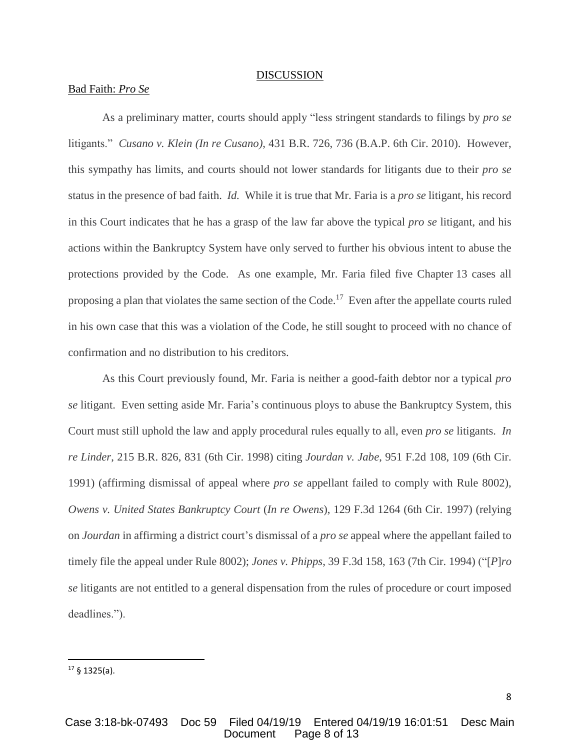#### **DISCUSSION**

## Bad Faith: *Pro Se*

As a preliminary matter, courts should apply "less stringent standards to filings by *pro se* litigants." *Cusano v. Klein (In re Cusano)*, 431 B.R. 726, 736 (B.A.P. 6th Cir. 2010). However, this sympathy has limits, and courts should not lower standards for litigants due to their *pro se* status in the presence of bad faith. *Id.* While it is true that Mr. Faria is a *pro se* litigant, his record in this Court indicates that he has a grasp of the law far above the typical *pro se* litigant, and his actions within the Bankruptcy System have only served to further his obvious intent to abuse the protections provided by the Code. As one example, Mr. Faria filed five Chapter 13 cases all proposing a plan that violates the same section of the Code.<sup>17</sup> Even after the appellate courts ruled in his own case that this was a violation of the Code, he still sought to proceed with no chance of confirmation and no distribution to his creditors.

As this Court previously found, Mr. Faria is neither a good-faith debtor nor a typical *pro se* litigant. Even setting aside Mr. Faria's continuous ploys to abuse the Bankruptcy System, this Court must still uphold the law and apply procedural rules equally to all, even *pro se* litigants. *In re Linder*, 215 B.R. 826, 831 (6th Cir. 1998) citing *Jourdan v. Jabe*, 951 F.2d 108, 109 (6th Cir. 1991) (affirming dismissal of appeal where *pro se* appellant failed to comply with Rule 8002), *Owens v. United States Bankruptcy Court* (*In re Owens*), 129 F.3d 1264 (6th Cir. 1997) (relying on *Jourdan* in affirming a district court's dismissal of a *pro se* appeal where the appellant failed to timely file the appeal under Rule 8002); *Jones v. Phipps*, 39 F.3d 158, 163 (7th Cir. 1994) ("[*P*]*ro se* litigants are not entitled to a general dispensation from the rules of procedure or court imposed deadlines.").

 $\overline{\phantom{a}}$ 

 $17 \S 1325(a)$ .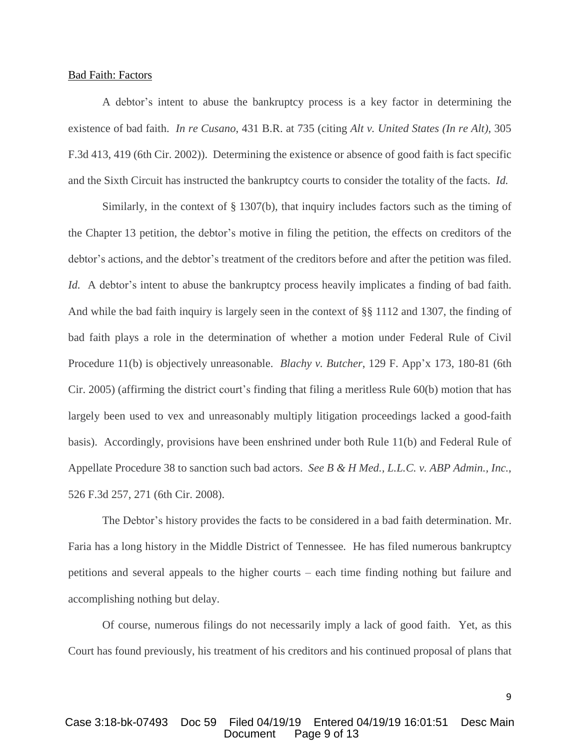#### Bad Faith: Factors

A debtor's intent to abuse the bankruptcy process is a key factor in determining the existence of bad faith. *In re Cusano*, 431 B.R. at 735 (citing *Alt v. United States (In re Alt)*, 305 F.3d 413, 419 (6th Cir. 2002)). Determining the existence or absence of good faith is fact specific and the Sixth Circuit has instructed the bankruptcy courts to consider the totality of the facts. *Id.*

Similarly, in the context of § 1307(b), that inquiry includes factors such as the timing of the Chapter 13 petition, the debtor's motive in filing the petition, the effects on creditors of the debtor's actions, and the debtor's treatment of the creditors before and after the petition was filed. *Id.* A debtor's intent to abuse the bankruptcy process heavily implicates a finding of bad faith. And while the bad faith inquiry is largely seen in the context of §§ 1112 and 1307, the finding of bad faith plays a role in the determination of whether a motion under Federal Rule of Civil Procedure 11(b) is objectively unreasonable. *Blachy v. Butcher*, 129 F. App'x 173, 180-81 (6th Cir. 2005) (affirming the district court's finding that filing a meritless Rule 60(b) motion that has largely been used to vex and unreasonably multiply litigation proceedings lacked a good-faith basis). Accordingly, provisions have been enshrined under both Rule 11(b) and Federal Rule of Appellate Procedure 38 to sanction such bad actors. *See B & H Med., L.L.C. v. ABP Admin., Inc.*, 526 F.3d 257, 271 (6th Cir. 2008).

The Debtor's history provides the facts to be considered in a bad faith determination. Mr. Faria has a long history in the Middle District of Tennessee. He has filed numerous bankruptcy petitions and several appeals to the higher courts – each time finding nothing but failure and accomplishing nothing but delay.

Of course, numerous filings do not necessarily imply a lack of good faith. Yet, as this Court has found previously, his treatment of his creditors and his continued proposal of plans that

9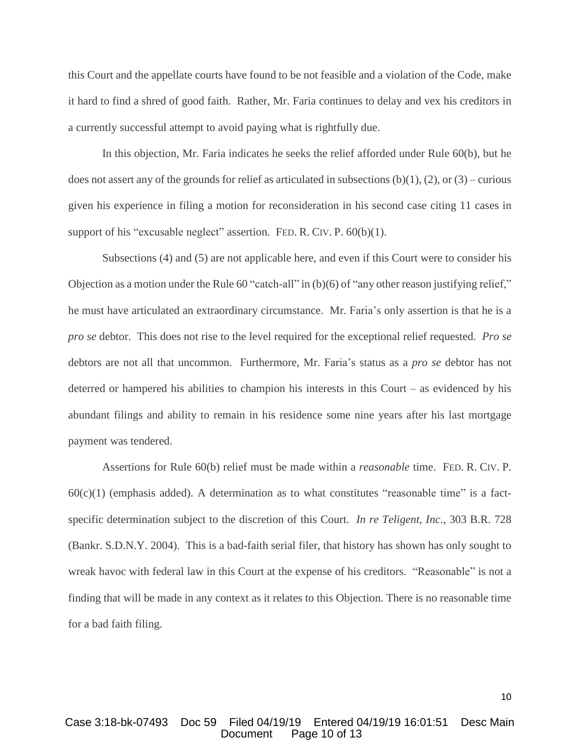this Court and the appellate courts have found to be not feasible and a violation of the Code, make it hard to find a shred of good faith. Rather, Mr. Faria continues to delay and vex his creditors in a currently successful attempt to avoid paying what is rightfully due.

In this objection, Mr. Faria indicates he seeks the relief afforded under Rule 60(b), but he does not assert any of the grounds for relief as articulated in subsections  $(b)(1)$ ,  $(2)$ , or  $(3)$  – curious given his experience in filing a motion for reconsideration in his second case citing 11 cases in support of his "excusable neglect" assertion. FED. R. CIV. P. 60(b)(1).

Subsections (4) and (5) are not applicable here, and even if this Court were to consider his Objection as a motion under the Rule 60 "catch-all" in (b)(6) of "any other reason justifying relief," he must have articulated an extraordinary circumstance. Mr. Faria's only assertion is that he is a *pro se* debtor. This does not rise to the level required for the exceptional relief requested. *Pro se* debtors are not all that uncommon. Furthermore, Mr. Faria's status as a *pro se* debtor has not deterred or hampered his abilities to champion his interests in this Court – as evidenced by his abundant filings and ability to remain in his residence some nine years after his last mortgage payment was tendered.

Assertions for Rule 60(b) relief must be made within a *reasonable* time. FED. R. CIV. P.  $60(c)(1)$  (emphasis added). A determination as to what constitutes "reasonable time" is a factspecific determination subject to the discretion of this Court. *In re Teligent, Inc*., 303 B.R. 728 (Bankr. S.D.N.Y. 2004). This is a bad-faith serial filer, that history has shown has only sought to wreak havoc with federal law in this Court at the expense of his creditors. "Reasonable" is not a finding that will be made in any context as it relates to this Objection. There is no reasonable time for a bad faith filing.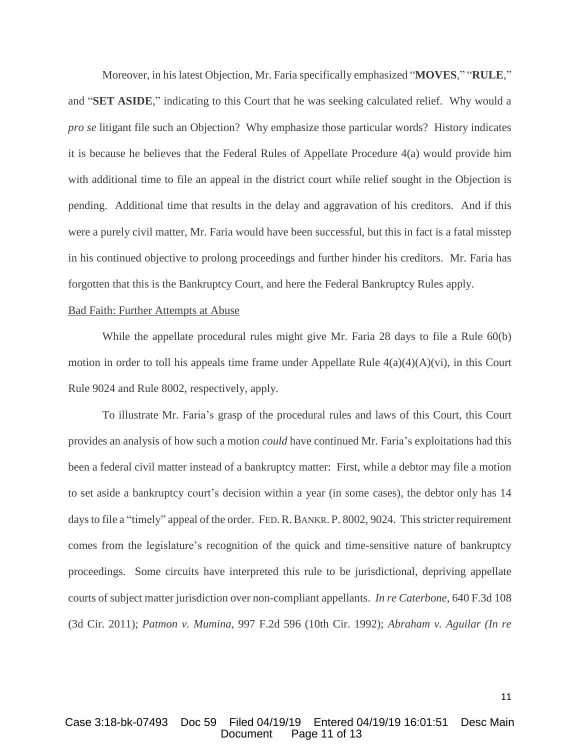Moreover, in his latest Objection, Mr. Faria specifically emphasized "**MOVES**," "**RULE**," and "**SET ASIDE**," indicating to this Court that he was seeking calculated relief. Why would a *pro se* litigant file such an Objection? Why emphasize those particular words? History indicates it is because he believes that the Federal Rules of Appellate Procedure 4(a) would provide him with additional time to file an appeal in the district court while relief sought in the Objection is pending. Additional time that results in the delay and aggravation of his creditors. And if this were a purely civil matter, Mr. Faria would have been successful, but this in fact is a fatal misstep in his continued objective to prolong proceedings and further hinder his creditors. Mr. Faria has forgotten that this is the Bankruptcy Court, and here the Federal Bankruptcy Rules apply.

### Bad Faith: Further Attempts at Abuse

While the appellate procedural rules might give Mr. Faria 28 days to file a Rule 60(b) motion in order to toll his appeals time frame under Appellate Rule  $4(a)(4)(A)(vi)$ , in this Court Rule 9024 and Rule 8002, respectively, apply.

To illustrate Mr. Faria's grasp of the procedural rules and laws of this Court, this Court provides an analysis of how such a motion *could* have continued Mr. Faria's exploitations had this been a federal civil matter instead of a bankruptcy matter: First, while a debtor may file a motion to set aside a bankruptcy court's decision within a year (in some cases), the debtor only has 14 days to file a "timely" appeal of the order. FED. R. BANKR. P. 8002, 9024. This stricter requirement comes from the legislature's recognition of the quick and time-sensitive nature of bankruptcy proceedings. Some circuits have interpreted this rule to be jurisdictional, depriving appellate courts of subject matter jurisdiction over non-compliant appellants. *In re Caterbone*, 640 F.3d 108 (3d Cir. 2011); *Patmon v. Mumina*, 997 F.2d 596 (10th Cir. 1992); *Abraham v. Aguilar (In re*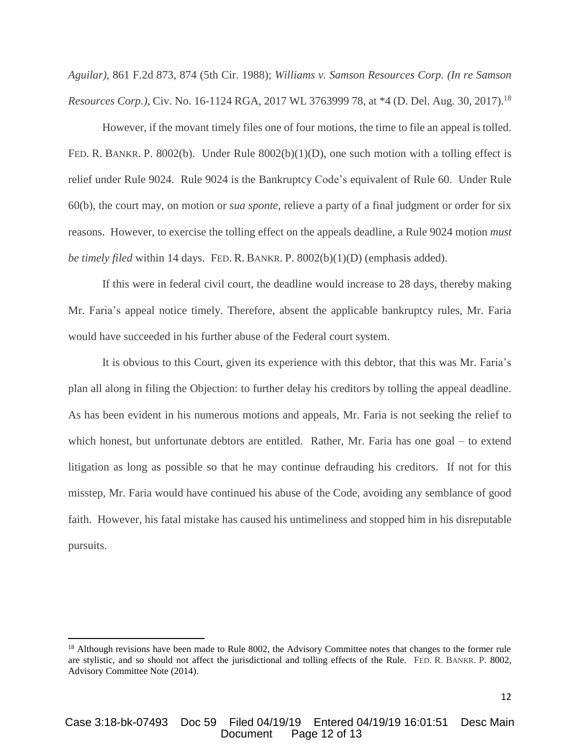*Aguilar)*, 861 F.2d 873, 874 (5th Cir. 1988); *Williams v. Samson Resources Corp. (In re Samson Resources Corp.)*, Civ. No. 16-1124 RGA, 2017 WL 3763999 78, at \*4 (D. Del. Aug. 30, 2017).<sup>18</sup>

However, if the movant timely files one of four motions, the time to file an appeal is tolled. FED. R. BANKR. P. 8002(b). Under Rule 8002(b)(1)(D), one such motion with a tolling effect is relief under Rule 9024. Rule 9024 is the Bankruptcy Code's equivalent of Rule 60. Under Rule 60(b), the court may, on motion or *sua sponte*, relieve a party of a final judgment or order for six reasons. However, to exercise the tolling effect on the appeals deadline, a Rule 9024 motion *must be timely filed* within 14 days. FED. R. BANKR. P. 8002(b)(1)(D) (emphasis added).

If this were in federal civil court, the deadline would increase to 28 days, thereby making Mr. Faria's appeal notice timely. Therefore, absent the applicable bankruptcy rules, Mr. Faria would have succeeded in his further abuse of the Federal court system.

It is obvious to this Court, given its experience with this debtor, that this was Mr. Faria's plan all along in filing the Objection: to further delay his creditors by tolling the appeal deadline. As has been evident in his numerous motions and appeals, Mr. Faria is not seeking the relief to which honest, but unfortunate debtors are entitled. Rather, Mr. Faria has one goal – to extend litigation as long as possible so that he may continue defrauding his creditors. If not for this misstep, Mr. Faria would have continued his abuse of the Code, avoiding any semblance of good faith. However, his fatal mistake has caused his untimeliness and stopped him in his disreputable pursuits.

 $\overline{\phantom{a}}$ 

<sup>&</sup>lt;sup>18</sup> Although revisions have been made to Rule 8002, the Advisory Committee notes that changes to the former rule are stylistic, and so should not affect the jurisdictional and tolling effects of the Rule. FED. R. BANKR. P. 8002, Advisory Committee Note (2014).